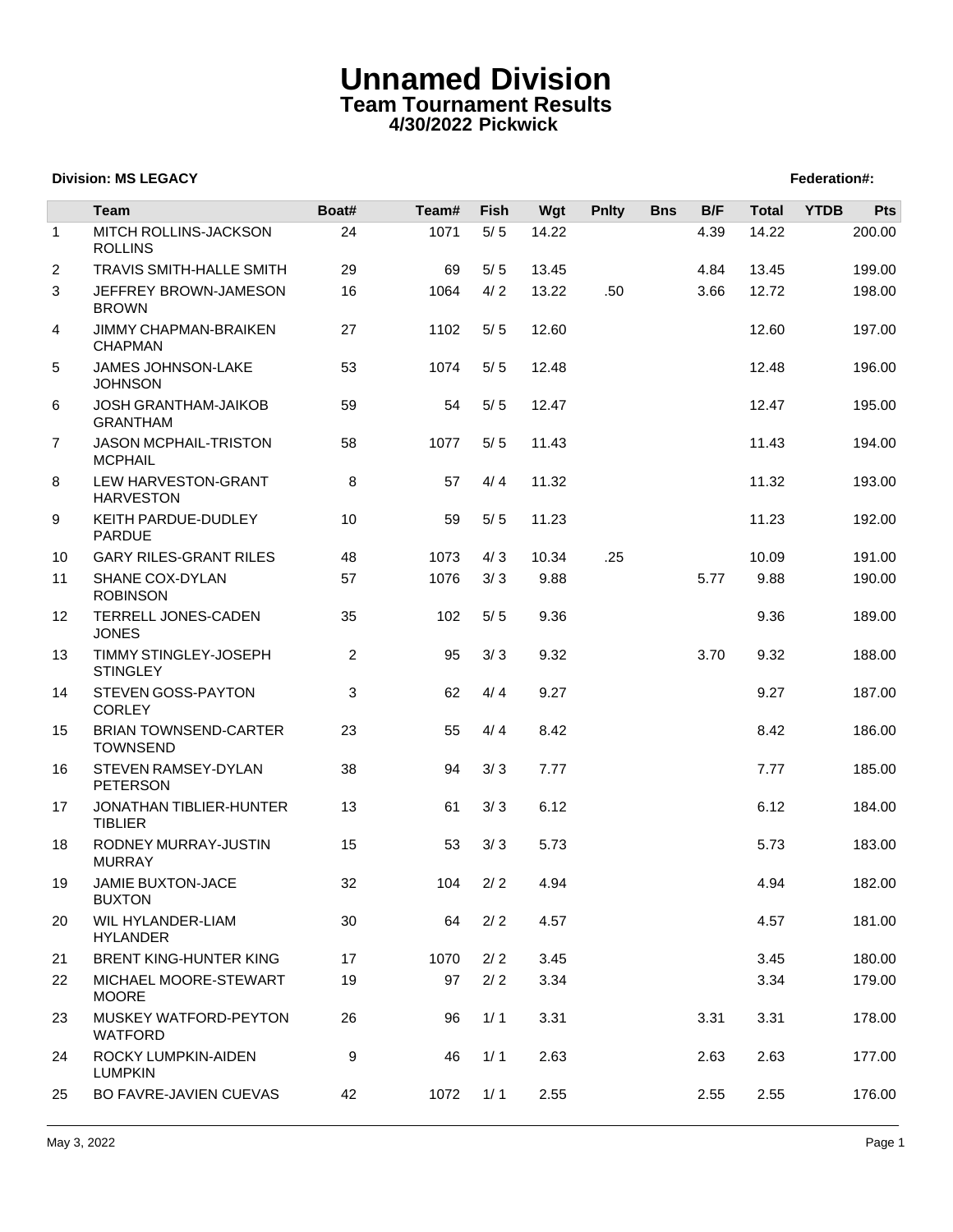# **Unnamed Division Team Tournament Results 4/30/2022 Pickwick**

## **Division: MS LEGACY Federation: Propose Section: Federation: Federation: Federation: Federation: Federation: Federation: Federation: Federation: Federation: Federation: Federation: Federation:**

|              | <b>Team</b>                                    | Boat#          | Team# | Fish  | Wgt   | <b>Pnlty</b> | <b>Bns</b> | B/F  | <b>Total</b> | <b>YTDB</b> | Pts    |
|--------------|------------------------------------------------|----------------|-------|-------|-------|--------------|------------|------|--------------|-------------|--------|
| $\mathbf{1}$ | MITCH ROLLINS-JACKSON<br><b>ROLLINS</b>        | 24             | 1071  | $5/5$ | 14.22 |              |            | 4.39 | 14.22        |             | 200.00 |
| 2            | <b>TRAVIS SMITH-HALLE SMITH</b>                | 29             | 69    | 5/5   | 13.45 |              |            | 4.84 | 13.45        |             | 199.00 |
| 3            | JEFFREY BROWN-JAMESON<br><b>BROWN</b>          | 16             | 1064  | 4/2   | 13.22 | .50          |            | 3.66 | 12.72        |             | 198.00 |
| 4            | JIMMY CHAPMAN-BRAIKEN<br><b>CHAPMAN</b>        | 27             | 1102  | 5/5   | 12.60 |              |            |      | 12.60        |             | 197.00 |
| 5            | <b>JAMES JOHNSON-LAKE</b><br><b>JOHNSON</b>    | 53             | 1074  | 5/5   | 12.48 |              |            |      | 12.48        |             | 196.00 |
| 6            | <b>JOSH GRANTHAM-JAIKOB</b><br><b>GRANTHAM</b> | 59             | 54    | $5/5$ | 12.47 |              |            |      | 12.47        |             | 195.00 |
| 7            | JASON MCPHAIL-TRISTON<br><b>MCPHAIL</b>        | 58             | 1077  | 5/5   | 11.43 |              |            |      | 11.43        |             | 194.00 |
| 8            | LEW HARVESTON-GRANT<br><b>HARVESTON</b>        | 8              | 57    | 4/4   | 11.32 |              |            |      | 11.32        |             | 193.00 |
| 9            | KEITH PARDUE-DUDLEY<br><b>PARDUE</b>           | 10             | 59    | 5/5   | 11.23 |              |            |      | 11.23        |             | 192.00 |
| 10           | <b>GARY RILES-GRANT RILES</b>                  | 48             | 1073  | 4/3   | 10.34 | .25          |            |      | 10.09        |             | 191.00 |
| 11           | SHANE COX-DYLAN<br><b>ROBINSON</b>             | 57             | 1076  | 3/3   | 9.88  |              |            | 5.77 | 9.88         |             | 190.00 |
| 12           | TERRELL JONES-CADEN<br><b>JONES</b>            | 35             | 102   | 5/5   | 9.36  |              |            |      | 9.36         |             | 189.00 |
| 13           | TIMMY STINGLEY-JOSEPH<br><b>STINGLEY</b>       | $\overline{2}$ | 95    | 3/3   | 9.32  |              |            | 3.70 | 9.32         |             | 188.00 |
| 14           | STEVEN GOSS-PAYTON<br><b>CORLEY</b>            | 3              | 62    | 4/4   | 9.27  |              |            |      | 9.27         |             | 187.00 |
| 15           | BRIAN TOWNSEND-CARTER<br><b>TOWNSEND</b>       | 23             | 55    | 4/4   | 8.42  |              |            |      | 8.42         |             | 186.00 |
| 16           | <b>STEVEN RAMSEY-DYLAN</b><br><b>PETERSON</b>  | 38             | 94    | 3/3   | 7.77  |              |            |      | 7.77         |             | 185.00 |
| 17           | JONATHAN TIBLIER-HUNTER<br><b>TIBLIER</b>      | 13             | 61    | 3/3   | 6.12  |              |            |      | 6.12         |             | 184.00 |
| 18           | RODNEY MURRAY-JUSTIN<br><b>MURRAY</b>          | 15             | 53    | 3/3   | 5.73  |              |            |      | 5.73         |             | 183.00 |
| 19           | JAMIE BUXTON-JACE<br><b>BUXTON</b>             | 32             | 104   | 2/2   | 4.94  |              |            |      | 4.94         |             | 182.00 |
| 20           | WIL HYLANDER-LIAM<br><b>HYLANDER</b>           | 30             | 64    | 2/2   | 4.57  |              |            |      | 4.57         |             | 181.00 |
| 21           | BRENT KING-HUNTER KING                         | 17             | 1070  | 2/2   | 3.45  |              |            |      | 3.45         |             | 180.00 |
| 22           | MICHAEL MOORE-STEWART<br><b>MOORE</b>          | 19             | 97    | 2/2   | 3.34  |              |            |      | 3.34         |             | 179.00 |
| 23           | MUSKEY WATFORD-PEYTON<br><b>WATFORD</b>        | 26             | 96    | 1/1   | 3.31  |              |            | 3.31 | 3.31         |             | 178.00 |
| 24           | ROCKY LUMPKIN-AIDEN<br><b>LUMPKIN</b>          | 9              | 46    | 1/1   | 2.63  |              |            | 2.63 | 2.63         |             | 177.00 |
| 25           | BO FAVRE-JAVIEN CUEVAS                         | 42             | 1072  | 1/1   | 2.55  |              |            | 2.55 | 2.55         |             | 176.00 |